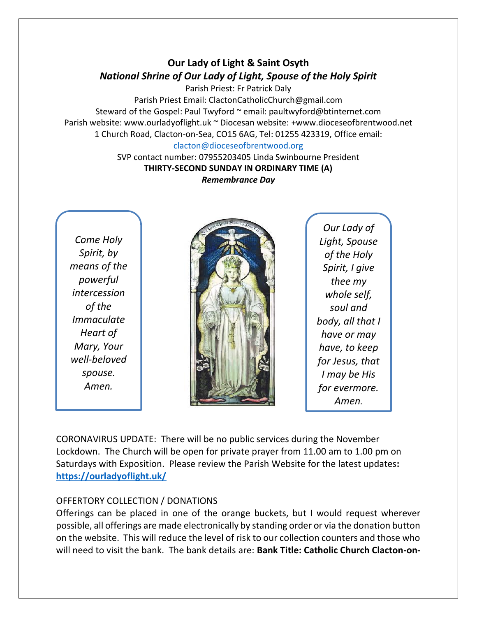# **Our Lady of Light & Saint Osyth** *National Shrine of Our Lady of Light, Spouse of the Holy Spirit*

Parish Priest: Fr Patrick Daly Parish Priest Email: ClactonCatholicChurch@gmail.com Steward of the Gospel: Paul Twyford ~ email: paultwyford@btinternet.com Parish website: www.ourladyoflight.uk ~ Diocesan website: +www.dioceseofbrentwood.net 1 Church Road, Clacton-on-Sea, CO15 6AG, Tel: 01255 423319, Office email:

#### [clacton@dioceseofbrentwood.org](mailto:clacton@dioceseofbrentwood.org)

SVP contact number: 07955203405 Linda Swinbourne President **THIRTY-SECOND SUNDAY IN ORDINARY TIME (A)** *Remembrance Day*

*Come Holy Spirit, by means of the powerful intercession of the Immaculate Heart of Mary, Your well-beloved spouse. Amen.*



*Our Lady of Light, Spouse of the Holy Spirit, I give thee my whole self, soul and body, all that I have or may have, to keep for Jesus, that I may be His for evermore. Amen.*

CORONAVIRUS UPDATE: There will be no public services during the November Lockdown. The Church will be open for private prayer from 11.00 am to 1.00 pm on Saturdays with Exposition. Please review the Parish Website for the latest updates**: <https://ourladyoflight.uk/>**

## OFFERTORY COLLECTION / DONATIONS

Offerings can be placed in one of the orange buckets, but I would request wherever possible, all offerings are made electronically by standing order or via the donation button on the website. This will reduce the level of risk to our collection counters and those who will need to visit the bank. The bank details are: **Bank Title: Catholic Church Clacton-on-**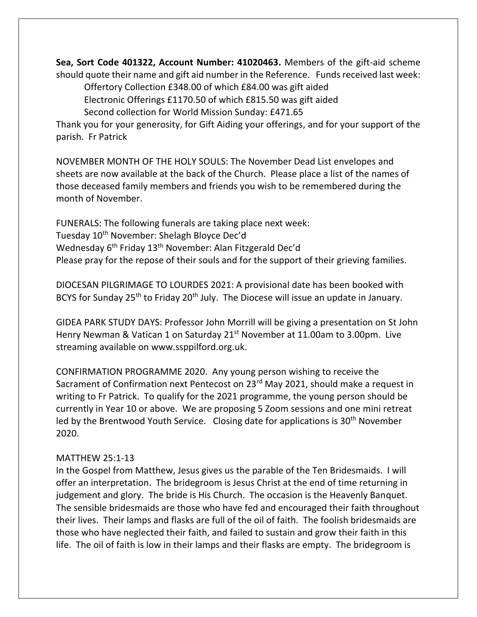**Sea, Sort Code 401322, Account Number: 41020463.** Members of the gift-aid scheme should quote their name and gift aid number in the Reference. Funds received last week:

Offertory Collection £348.00 of which £84.00 was gift aided

Electronic Offerings £1170.50 of which £815.50 was gift aided

Second collection for World Mission Sunday: £471.65

Thank you for your generosity, for Gift Aiding your offerings, and for your support of the parish. Fr Patrick

NOVEMBER MONTH OF THE HOLY SOULS: The November Dead List envelopes and sheets are now available at the back of the Church. Please place a list of the names of those deceased family members and friends you wish to be remembered during the month of November.

FUNERALS: The following funerals are taking place next week: Tuesday 10<sup>th</sup> November: Shelagh Bloyce Dec'd Wednesday 6th Friday 13th November: Alan Fitzgerald Dec'd Please pray for the repose of their souls and for the support of their grieving families.

DIOCESAN PILGRIMAGE TO LOURDES 2021: A provisional date has been booked with BCYS for Sunday 25<sup>th</sup> to Friday 20<sup>th</sup> July. The Diocese will issue an update in January.

GIDEA PARK STUDY DAYS: Professor John Morrill will be giving a presentation on St John Henry Newman & Vatican 1 on Saturday 21<sup>st</sup> November at 11.00am to 3.00pm. Live streaming available on www.ssppilford.org.uk.

CONFIRMATION PROGRAMME 2020. Any young person wishing to receive the Sacrament of Confirmation next Pentecost on 23<sup>rd</sup> May 2021, should make a request in writing to Fr Patrick. To qualify for the 2021 programme, the young person should be currently in Year 10 or above. We are proposing 5 Zoom sessions and one mini retreat led by the Brentwood Youth Service. Closing date for applications is 30th November 2020.

## MATTHEW 25:1-13

In the Gospel from Matthew, Jesus gives us the parable of the Ten Bridesmaids. I will offer an interpretation. The bridegroom is Jesus Christ at the end of time returning in judgement and glory. The bride is His Church. The occasion is the Heavenly Banquet. The sensible bridesmaids are those who have fed and encouraged their faith throughout their lives. Their lamps and flasks are full of the oil of faith. The foolish bridesmaids are those who have neglected their faith, and failed to sustain and grow their faith in this life. The oil of faith is low in their lamps and their flasks are empty. The bridegroom is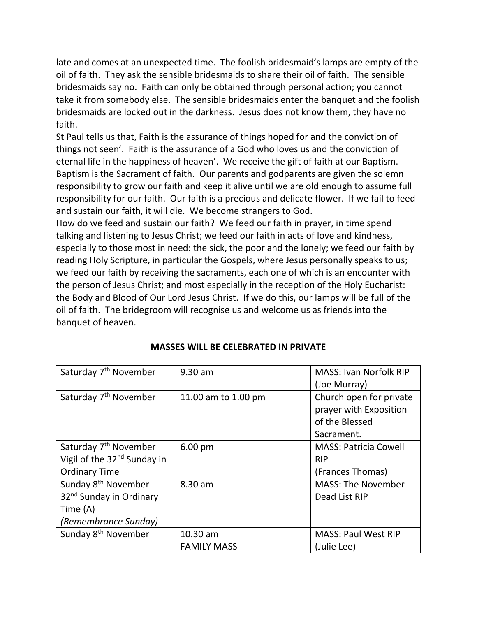late and comes at an unexpected time. The foolish bridesmaid's lamps are empty of the oil of faith. They ask the sensible bridesmaids to share their oil of faith. The sensible bridesmaids say no. Faith can only be obtained through personal action; you cannot take it from somebody else. The sensible bridesmaids enter the banquet and the foolish bridesmaids are locked out in the darkness. Jesus does not know them, they have no faith.

St Paul tells us that, Faith is the assurance of things hoped for and the conviction of things not seen'. Faith is the assurance of a God who loves us and the conviction of eternal life in the happiness of heaven'. We receive the gift of faith at our Baptism. Baptism is the Sacrament of faith. Our parents and godparents are given the solemn responsibility to grow our faith and keep it alive until we are old enough to assume full responsibility for our faith. Our faith is a precious and delicate flower. If we fail to feed and sustain our faith, it will die. We become strangers to God.

How do we feed and sustain our faith? We feed our faith in prayer, in time spend talking and listening to Jesus Christ; we feed our faith in acts of love and kindness, especially to those most in need: the sick, the poor and the lonely; we feed our faith by reading Holy Scripture, in particular the Gospels, where Jesus personally speaks to us; we feed our faith by receiving the sacraments, each one of which is an encounter with the person of Jesus Christ; and most especially in the reception of the Holy Eucharist: the Body and Blood of Our Lord Jesus Christ. If we do this, our lamps will be full of the oil of faith. The bridegroom will recognise us and welcome us as friends into the banquet of heaven.

| Saturday 7 <sup>th</sup> November       | $9.30$ am           | <b>MASS: Ivan Norfolk RIP</b> |
|-----------------------------------------|---------------------|-------------------------------|
|                                         |                     | (Joe Murray)                  |
| Saturday 7 <sup>th</sup> November       | 11.00 am to 1.00 pm | Church open for private       |
|                                         |                     | prayer with Exposition        |
|                                         |                     | of the Blessed                |
|                                         |                     | Sacrament.                    |
| Saturday 7 <sup>th</sup> November       | $6.00$ pm           | <b>MASS: Patricia Cowell</b>  |
| Vigil of the 32 <sup>nd</sup> Sunday in |                     | <b>RIP</b>                    |
| <b>Ordinary Time</b>                    |                     | (Frances Thomas)              |
| Sunday 8 <sup>th</sup> November         | 8.30 am             | <b>MASS: The November</b>     |
| 32 <sup>nd</sup> Sunday in Ordinary     |                     | Dead List RIP                 |
| Time (A)                                |                     |                               |
| (Remembrance Sunday)                    |                     |                               |
| Sunday 8 <sup>th</sup> November         | 10.30 am            | <b>MASS: Paul West RIP</b>    |
|                                         | <b>FAMILY MASS</b>  | (Julie Lee)                   |

#### **MASSES WILL BE CELEBRATED IN PRIVATE**